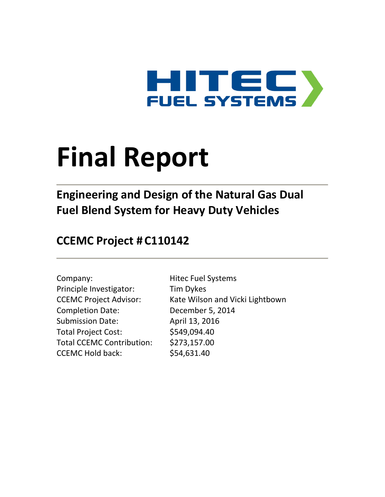

# **Final Report**

**Engineering and Design of the Natural Gas Dual Fuel Blend System for Heavy Duty Vehicles**

## **CCEMC Project # C110142**

| Company:                         |
|----------------------------------|
| Principle Investigator:          |
| <b>CCEMC Project Advisor:</b>    |
| <b>Completion Date:</b>          |
| <b>Submission Date:</b>          |
| <b>Total Project Cost:</b>       |
| <b>Total CCEMC Contribution:</b> |
| <b>CCEMC Hold back:</b>          |

Hitec Fuel Systems Tim Dykes Kate Wilson and Vicki Lightbown December 5, 2014 April 13, 2016 \$549,094.40  $$273,157.00$  $$54,631.40$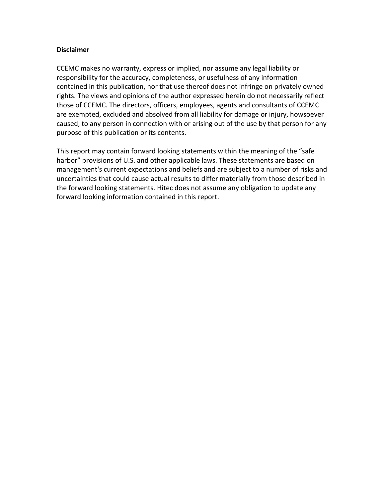#### **Disclaimer**

CCEMC makes no warranty, express or implied, nor assume any legal liability or responsibility for the accuracy, completeness, or usefulness of any information contained in this publication, nor that use thereof does not infringe on privately owned rights. The views and opinions of the author expressed herein do not necessarily reflect those of CCEMC. The directors, officers, employees, agents and consultants of CCEMC are exempted, excluded and absolved from all liability for damage or injury, howsoever caused, to any person in connection with or arising out of the use by that person for any purpose of this publication or its contents.

This report may contain forward looking statements within the meaning of the "safe harbor" provisions of U.S. and other applicable laws. These statements are based on management's current expectations and beliefs and are subject to a number of risks and uncertainties that could cause actual results to differ materially from those described in the forward looking statements. Hitec does not assume any obligation to update any forward looking information contained in this report.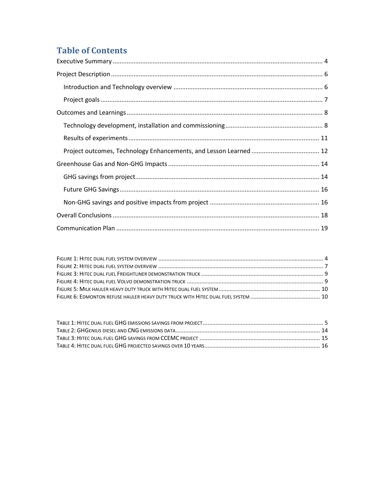## **Table of Contents**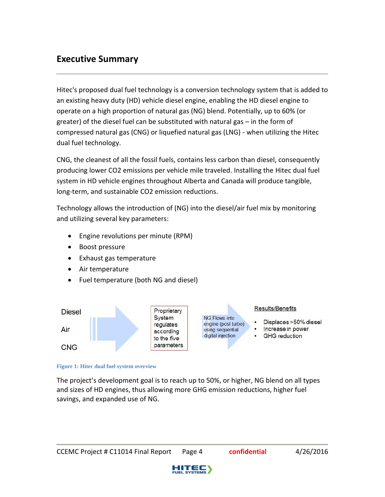## <span id="page-3-0"></span>**Executive Summary**

Hitec's proposed dual fuel technology is a conversion technology system that is added to an existing heavy duty (HD) vehicle diesel engine, enabling the HD diesel engine to operate on a high proportion of natural gas (NG) blend. Potentially, up to 60% (or greater) of the diesel fuel can be substituted with natural gas – in the form of compressed natural gas (CNG) or liquefied natural gas (LNG) - when utilizing the Hitec dual fuel technology.

CNG, the cleanest of all the fossil fuels, contains less carbon than diesel, consequently producing lower CO2 emissions per vehicle mile traveled. Installing the Hitec dual fuel system in HD vehicle engines throughout Alberta and Canada will produce tangible, long-term, and sustainable CO2 emission reductions.

Technology allows the introduction of (NG) into the diesel/air fuel mix by monitoring and utilizing several key parameters:

- Engine revolutions per minute (RPM)
- Boost pressure
- Exhaust gas temperature
- Air temperature
- Fuel temperature (both NG and diesel)



#### <span id="page-3-1"></span>**Figure 1: Hitec dual fuel system overview**

The project's development goal is to reach up to 50%, or higher, NG blend on all types and sizes of HD engines, thus allowing more GHG emission reductions, higher fuel savings, and expanded use of NG.

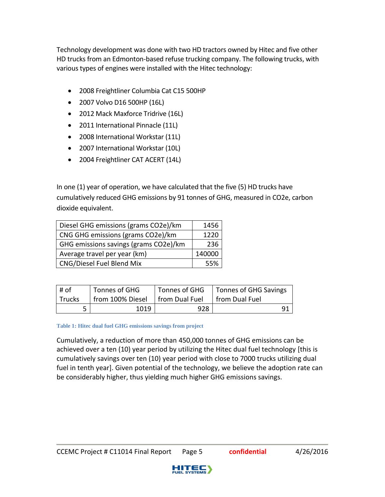Technology development was done with two HD tractors owned by Hitec and five other HD trucks from an Edmonton-based refuse trucking company. The following trucks, with various types of engines were installed with the Hitec technology:

- 2008 Freightliner Columbia Cat C15 500HP
- 2007 Volvo D16 500HP (16L)
- 2012 Mack Maxforce Tridrive (16L)
- 2011 International Pinnacle (11L)
- 2008 International Workstar (11L)
- 2007 International Workstar (10L)
- 2004 Freightliner CAT ACERT (14L)

In one (1) year of operation, we have calculated that the five (5) HD trucks have cumulatively reduced GHG emissions by 91 tonnes of GHG, measured in CO2e, carbon dioxide equivalent.

| Diesel GHG emissions (grams CO2e)/km  | 1456   |
|---------------------------------------|--------|
| CNG GHG emissions (grams CO2e)/km     | 1220   |
| GHG emissions savings (grams CO2e)/km | 236    |
| Average travel per year (km)          | 140000 |
| CNG/Diesel Fuel Blend Mix             | 55%    |

| # of   | Tonnes of GHG                     |     | Tonnes of GHG   Tonnes of GHG Savings |
|--------|-----------------------------------|-----|---------------------------------------|
| Trucks | from 100% Diesel   from Dual Fuel |     | from Dual Fuel                        |
|        | 1019                              | 928 |                                       |

#### <span id="page-4-0"></span>**Table 1: Hitec dual fuel GHG emissions savings from project**

Cumulatively, a reduction of more than 450,000 tonnes of GHG emissions can be achieved over a ten (10) year period by utilizing the Hitec dual fuel technology [this is cumulatively savings over ten (10) year period with close to 7000 trucks utilizing dual fuel in tenth year]. Given potential of the technology, we believe the adoption rate can be considerably higher, thus yielding much higher GHG emissions savings.

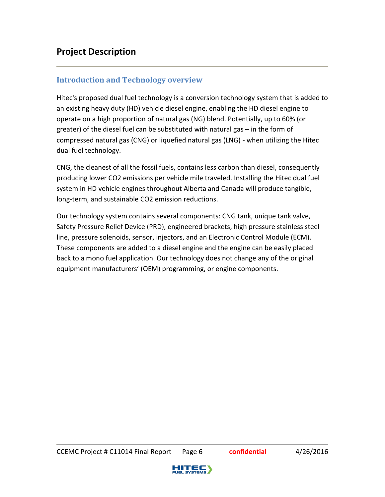#### <span id="page-5-1"></span><span id="page-5-0"></span>**Introduction and Technology overview**

Hitec's proposed dual fuel technology is a conversion technology system that is added to an existing heavy duty (HD) vehicle diesel engine, enabling the HD diesel engine to operate on a high proportion of natural gas (NG) blend. Potentially, up to 60% (or greater) of the diesel fuel can be substituted with natural gas – in the form of compressed natural gas (CNG) or liquefied natural gas (LNG) - when utilizing the Hitec dual fuel technology.

CNG, the cleanest of all the fossil fuels, contains less carbon than diesel, consequently producing lower CO2 emissions per vehicle mile traveled. Installing the Hitec dual fuel system in HD vehicle engines throughout Alberta and Canada will produce tangible, long-term, and sustainable CO2 emission reductions.

Our technology system contains several components: CNG tank, unique tank valve, Safety Pressure Relief Device (PRD), engineered brackets, high pressure stainless steel line, pressure solenoids, sensor, injectors, and an Electronic Control Module (ECM). These components are added to a diesel engine and the engine can be easily placed back to a mono fuel application. Our technology does not change any of the original equipment manufacturers' (OEM) programming, or engine components.

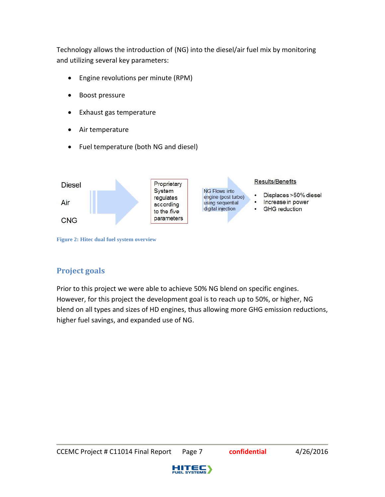Technology allows the introduction of (NG) into the diesel/air fuel mix by monitoring and utilizing several key parameters:

- Engine revolutions per minute (RPM)
- Boost pressure
- Exhaust gas temperature
- Air temperature
- Fuel temperature (both NG and diesel)



<span id="page-6-1"></span>**Figure 2: Hitec dual fuel system overview**

#### <span id="page-6-0"></span>**Project goals**

Prior to this project we were able to achieve 50% NG blend on specific engines. However, for this project the development goal is to reach up to 50%, or higher, NG blend on all types and sizes of HD engines, thus allowing more GHG emission reductions, higher fuel savings, and expanded use of NG.

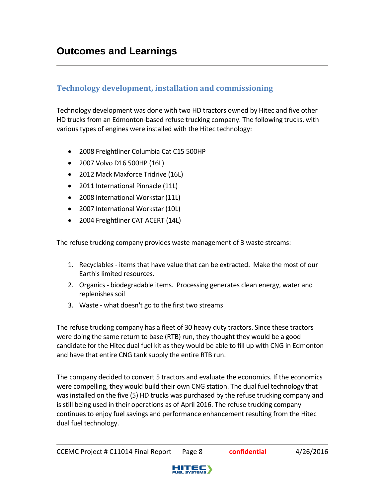#### <span id="page-7-1"></span><span id="page-7-0"></span>**Technology development, installation and commissioning**

Technology development was done with two HD tractors owned by Hitec and five other HD trucks from an Edmonton-based refuse trucking company. The following trucks, with various types of engines were installed with the Hitec technology:

- 2008 Freightliner Columbia Cat C15 500HP
- 2007 Volvo D16 500HP (16L)
- 2012 Mack Maxforce Tridrive (16L)
- 2011 International Pinnacle (11L)
- 2008 International Workstar (11L)
- 2007 International Workstar (10L)
- 2004 Freightliner CAT ACERT (14L)

The refuse trucking company provides waste management of 3 waste streams:

- 1. Recyclables items that have value that can be extracted. Make the most of our Earth's limited resources.
- 2. Organics biodegradable items. Processing generates clean energy, water and replenishes soil
- 3. Waste what doesn't go to the first two streams

The refuse trucking company has a fleet of 30 heavy duty tractors. Since these tractors were doing the same return to base (RTB) run, they thought they would be a good candidate for the Hitec dual fuel kit as they would be able to fill up with CNG in Edmonton and have that entire CNG tank supply the entire RTB run.

The company decided to convert 5 tractors and evaluate the economics. If the economics were compelling, they would build their own CNG station. The dual fuel technology that was installed on the five (5) HD trucks was purchased by the refuse trucking company and is still being used in their operations as of April 2016. The refuse trucking company continues to enjoy fuel savings and performance enhancement resulting from the Hitec dual fuel technology.

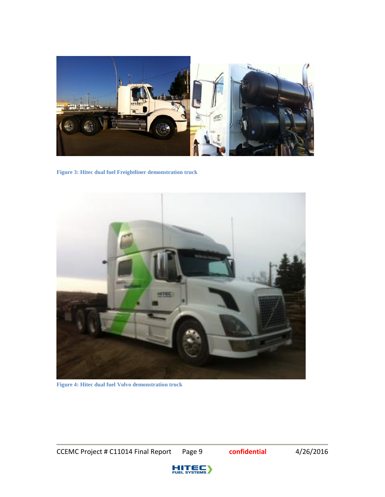

**Figure 3: Hitec dual fuel Freightliner demonstration truck**

<span id="page-8-0"></span>

**Figure 4: Hitec dual fuel Volvo demonstration truck**

<span id="page-8-1"></span>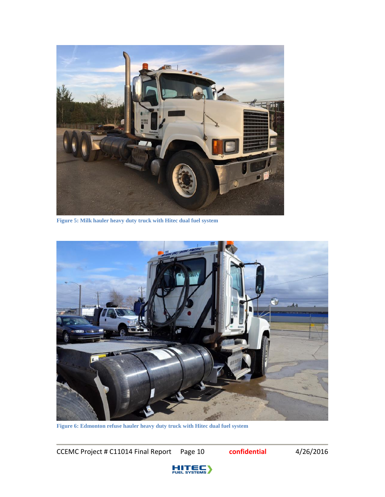

**Figure 5: Milk hauler heavy duty truck with Hitec dual fuel system**

<span id="page-9-0"></span>

**Figure 6: Edmonton refuse hauler heavy duty truck with Hitec dual fuel system**

<span id="page-9-1"></span>CCEMC Project # C11014 Final Report Page 10 **confidential** 4/26/2016

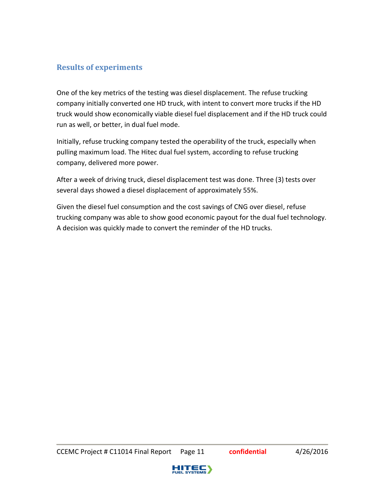#### <span id="page-10-0"></span>**Results of experiments**

One of the key metrics of the testing was diesel displacement. The refuse trucking company initially converted one HD truck, with intent to convert more trucks if the HD truck would show economically viable diesel fuel displacement and if the HD truck could run as well, or better, in dual fuel mode.

Initially, refuse trucking company tested the operability of the truck, especially when pulling maximum load. The Hitec dual fuel system, according to refuse trucking company, delivered more power.

After a week of driving truck, diesel displacement test was done. Three (3) tests over several days showed a diesel displacement of approximately 55%.

Given the diesel fuel consumption and the cost savings of CNG over diesel, refuse trucking company was able to show good economic payout for the dual fuel technology. A decision was quickly made to convert the reminder of the HD trucks.

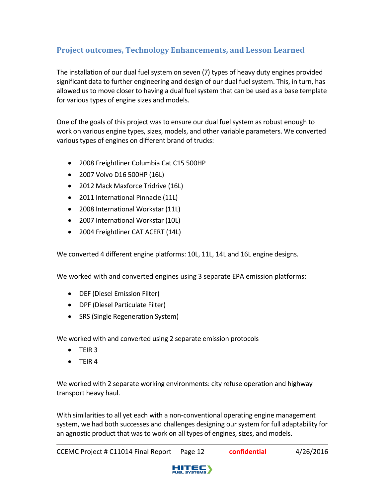#### <span id="page-11-0"></span>**Project outcomes, Technology Enhancements, and Lesson Learned**

The installation of our dual fuel system on seven (7) types of heavy duty engines provided significant data to further engineering and design of our dual fuel system. This, in turn, has allowed us to move closer to having a dual fuel system that can be used as a base template for various types of engine sizes and models.

One of the goals of this project was to ensure our dual fuel system as robust enough to work on various engine types, sizes, models, and other variable parameters. We converted various types of engines on different brand of trucks:

- 2008 Freightliner Columbia Cat C15 500HP
- 2007 Volvo D16 500HP (16L)
- 2012 Mack Maxforce Tridrive (16L)
- 2011 International Pinnacle (11L)
- 2008 International Workstar (11L)
- 2007 International Workstar (10L)
- 2004 Freightliner CAT ACERT (14L)

We converted 4 different engine platforms: 10L, 11L, 14L and 16L engine designs.

We worked with and converted engines using 3 separate EPA emission platforms:

- DEF (Diesel Emission Filter)
- DPF (Diesel Particulate Filter)
- SRS (Single Regeneration System)

We worked with and converted using 2 separate emission protocols

- $\bullet$  TFIR 3
- $\bullet$  TFIR 4

We worked with 2 separate working environments: city refuse operation and highway transport heavy haul.

With similarities to all yet each with a non-conventional operating engine management system, we had both successes and challenges designing our system for full adaptability for an agnostic product that was to work on all types of engines, sizes, and models.

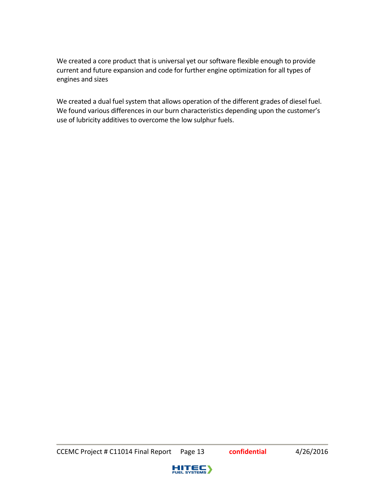We created a core product that is universal yet our software flexible enough to provide current and future expansion and code for further engine optimization for all types of engines and sizes

We created a dual fuel system that allows operation of the different grades of diesel fuel. We found various differences in our burn characteristics depending upon the customer's use of lubricity additives to overcome the low sulphur fuels.

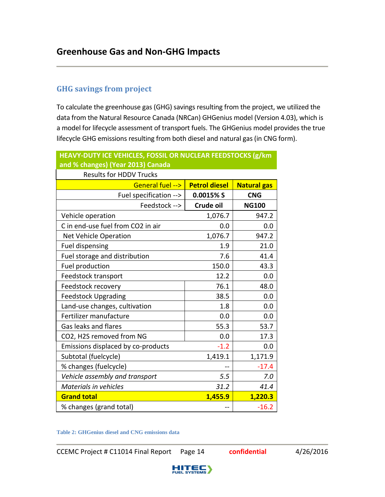#### <span id="page-13-1"></span><span id="page-13-0"></span>**GHG savings from project**

To calculate the greenhouse gas (GHG) savings resulting from the project, we utilized the data from the Natural Resource Canada (NRCan) GHGenius model (Version 4.03), which is a model for lifecycle assessment of transport fuels. The GHGenius model provides the true lifecycle GHG emissions resulting from both diesel and natural gas (in CNG form).

| and % changes) (Year 2013) Canada  |                      |                    |  |
|------------------------------------|----------------------|--------------------|--|
| <b>Results for HDDV Trucks</b>     |                      |                    |  |
| General fuel -->                   | <b>Petrol diesel</b> | <b>Natural gas</b> |  |
| Fuel specification -->             | 0.0015% S            | <b>CNG</b>         |  |
| Feedstock -->                      | Crude oil            | <b>NG100</b>       |  |
| Vehicle operation                  | 1,076.7              | 947.2              |  |
| C in end-use fuel from CO2 in air  | 0.0                  | 0.0                |  |
| Net Vehicle Operation              | 1,076.7              | 947.2              |  |
| <b>Fuel dispensing</b>             | 1.9                  | 21.0               |  |
| Fuel storage and distribution      | 7.6                  | 41.4               |  |
| Fuel production                    | 150.0                | 43.3               |  |
| Feedstock transport                | 12.2                 | 0.0                |  |
| Feedstock recovery                 | 76.1                 | 48.0               |  |
| <b>Feedstock Upgrading</b>         | 38.5                 | 0.0                |  |
| Land-use changes, cultivation      | 1.8                  | 0.0                |  |
| Fertilizer manufacture             | 0.0                  | 0.0                |  |
| Gas leaks and flares               | 55.3                 | 53.7               |  |
| CO2, H2S removed from NG           | 0.0                  | 17.3               |  |
| Emissions displaced by co-products | $-1.2$               | 0.0                |  |
| Subtotal (fuelcycle)               | 1,419.1              | 1,171.9            |  |
| % changes (fuelcycle)              |                      | $-17.4$            |  |
| Vehicle assembly and transport     | 5.5                  | 7.0                |  |
| <b>Materials in vehicles</b>       | 31.2                 | 41.4               |  |
| <b>Grand total</b>                 | 1,455.9              | 1,220.3            |  |
| % changes (grand total)            |                      | $-16.2$            |  |

**HEAVY-DUTY ICE VEHICLES, FOSSIL OR NUCLEAR FEEDSTOCKS (g/km** 

<span id="page-13-2"></span>**Table 2: GHGenius diesel and CNG emissions data**

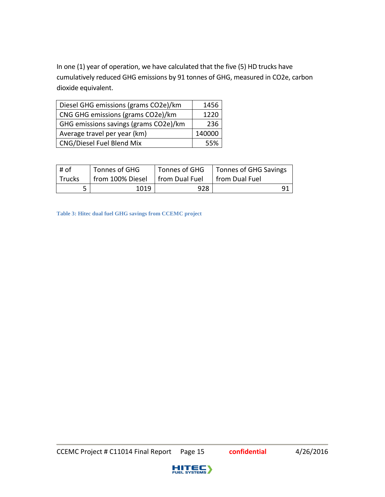In one (1) year of operation, we have calculated that the five (5) HD trucks have cumulatively reduced GHG emissions by 91 tonnes of GHG, measured in CO2e, carbon dioxide equivalent.

| Diesel GHG emissions (grams CO2e)/km  | 1456   |
|---------------------------------------|--------|
| CNG GHG emissions (grams CO2e)/km     | 1220   |
| GHG emissions savings (grams CO2e)/km | 236    |
| Average travel per year (km)          | 140000 |
| CNG/Diesel Fuel Blend Mix             | 55%    |

| ∣# of  | <sup>1</sup> Tonnes of GHG        | Tonnes of GHG | Tonnes of GHG Savings |
|--------|-----------------------------------|---------------|-----------------------|
| Trucks | from 100% Diesel   from Dual Fuel |               | from Dual Fuel        |
|        | 1019                              | 928           |                       |

<span id="page-14-0"></span>**Table 3: Hitec dual fuel GHG savings from CCEMC project**

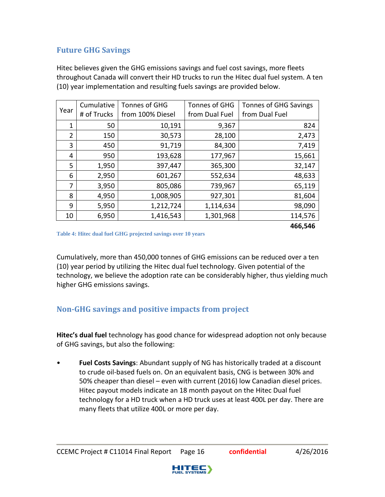#### <span id="page-15-0"></span>**Future GHG Savings**

Hitec believes given the GHG emissions savings and fuel cost savings, more fleets throughout Canada will convert their HD trucks to run the Hitec dual fuel system. A ten (10) year implementation and resulting fuels savings are provided below.

| Year           | Cumulative<br># of Trucks | Tonnes of GHG<br>from 100% Diesel | Tonnes of GHG<br>from Dual Fuel | <b>Tonnes of GHG Savings</b><br>from Dual Fuel |
|----------------|---------------------------|-----------------------------------|---------------------------------|------------------------------------------------|
| 1              | 50                        | 10,191                            | 9,367                           | 824                                            |
| $\overline{2}$ | 150                       | 30,573                            | 28,100                          | 2,473                                          |
| 3              | 450                       | 91,719                            | 84,300                          | 7,419                                          |
| 4              | 950                       | 193,628                           | 177,967                         | 15,661                                         |
| 5              | 1,950                     | 397,447                           | 365,300                         | 32,147                                         |
| 6              | 2,950                     | 601,267                           | 552,634                         | 48,633                                         |
| 7              | 3,950                     | 805,086                           | 739,967                         | 65,119                                         |
| 8              | 4,950                     | 1,008,905                         | 927,301                         | 81,604                                         |
| 9              | 5,950                     | 1,212,724                         | 1,114,634                       | 98,090                                         |
| 10             | 6,950                     | 1,416,543                         | 1,301,968                       | 114,576                                        |
|                |                           |                                   |                                 | 466,546                                        |

<span id="page-15-2"></span>**Table 4: Hitec dual fuel GHG projected savings over 10 years**

Cumulatively, more than 450,000 tonnes of GHG emissions can be reduced over a ten (10) year period by utilizing the Hitec dual fuel technology. Given potential of the technology, we believe the adoption rate can be considerably higher, thus yielding much higher GHG emissions savings.

#### <span id="page-15-1"></span>**Non-GHG savings and positive impacts from project**

**Hitec's dual fuel** technology has good chance for widespread adoption not only because of GHG savings, but also the following:

• **Fuel Costs Savings**: Abundant supply of NG has historically traded at a discount to crude oil-based fuels on. On an equivalent basis, CNG is between 30% and 50% cheaper than diesel – even with current (2016) low Canadian diesel prices. Hitec payout models indicate an 18 month payout on the Hitec Dual fuel technology for a HD truck when a HD truck uses at least 400L per day. There are many fleets that utilize 400L or more per day.

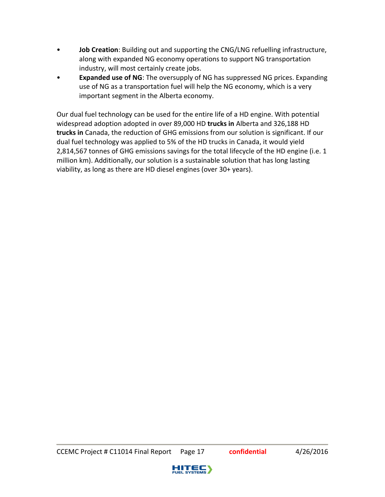- **Job Creation**: Building out and supporting the CNG/LNG refuelling infrastructure, along with expanded NG economy operations to support NG transportation industry, will most certainly create jobs.
- **Expanded use of NG**: The oversupply of NG has suppressed NG prices. Expanding use of NG as a transportation fuel will help the NG economy, which is a very important segment in the Alberta economy.

Our dual fuel technology can be used for the entire life of a HD engine. With potential widespread adoption adopted in over 89,000 HD **trucks in** Alberta and 326,188 HD **trucks in** Canada, the reduction of GHG emissions from our solution is significant. If our dual fuel technology was applied to 5% of the HD trucks in Canada, it would yield 2,814,567 tonnes of GHG emissions savings for the total lifecycle of the HD engine (i.e. 1 million km). Additionally, our solution is a sustainable solution that has long lasting viability, as long as there are HD diesel engines (over 30+ years).

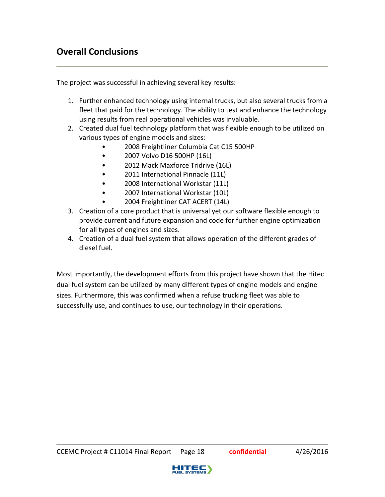<span id="page-17-0"></span>The project was successful in achieving several key results:

- 1. Further enhanced technology using internal trucks, but also several trucks from a fleet that paid for the technology. The ability to test and enhance the technology using results from real operational vehicles was invaluable.
- 2. Created dual fuel technology platform that was flexible enough to be utilized on various types of engine models and sizes:
	- 2008 Freightliner Columbia Cat C15 500HP
	- 2007 Volvo D16 500HP (16L)
	- 2012 Mack Maxforce Tridrive (16L)
	- 2011 International Pinnacle (11L)
	- 2008 International Workstar (11L)
	- 2007 International Workstar (10L)
	- 2004 Freightliner CAT ACERT (14L)
- 3. Creation of a core product that is universal yet our software flexible enough to provide current and future expansion and code for further engine optimization for all types of engines and sizes.
- 4. Creation of a dual fuel system that allows operation of the different grades of diesel fuel.

Most importantly, the development efforts from this project have shown that the Hitec dual fuel system can be utilized by many different types of engine models and engine sizes. Furthermore, this was confirmed when a refuse trucking fleet was able to successfully use, and continues to use, our technology in their operations.